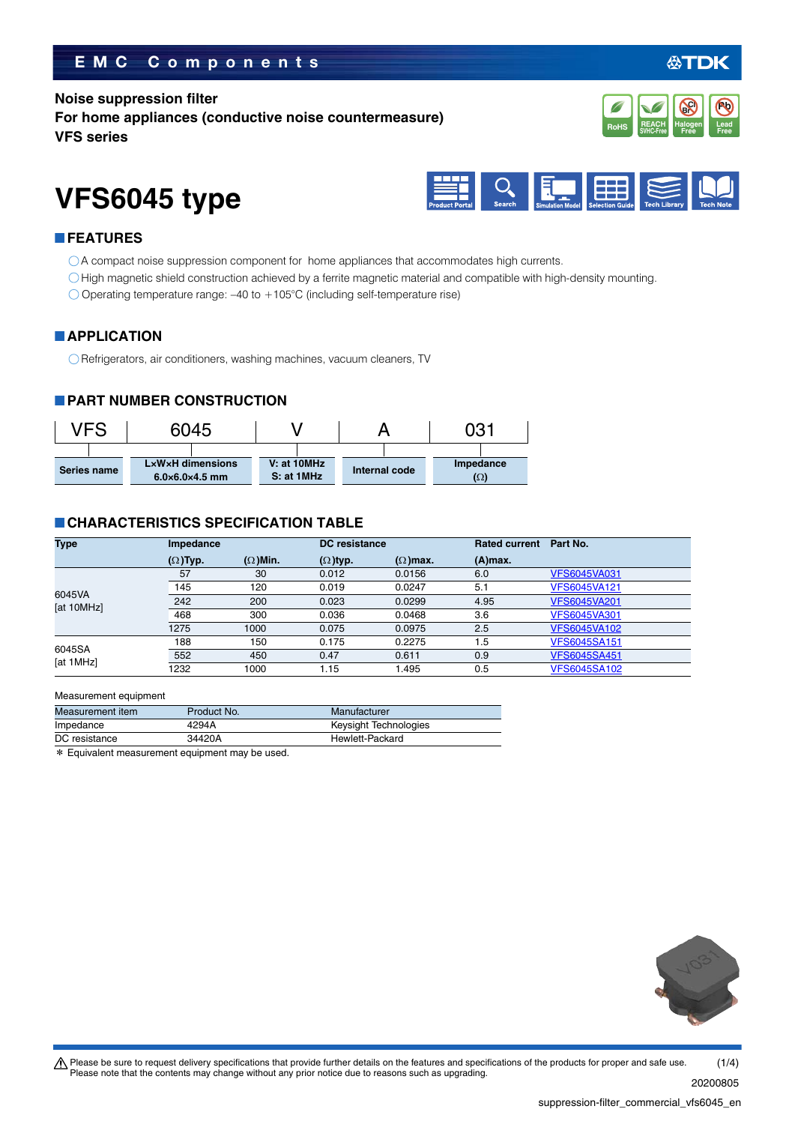# **EMC Components**

### **Noise suppression filter**

**For home appliances (conductive noise countermeasure) VFS series**



# **VFS6045 type**



## **FEATURES**

- A compact noise suppression component for home appliances that accommodates high currents.
- High magnetic shield construction achieved by a ferrite magnetic material and compatible with high-density mounting.
- $\bigcirc$  Operating temperature range: -40 to +105°C (including self-temperature rise)

### **APPLICATION**

Refrigerators, air conditioners, washing machines, vacuum cleaners, TV

### **PART NUMBER CONSTRUCTION**



# **CHARACTERISTICS SPECIFICATION TABLE**

| <b>Type</b>          | <b>Impedance</b> |                 | <b>DC</b> resistance |                 | <b>Rated current</b> | Part No.            |
|----------------------|------------------|-----------------|----------------------|-----------------|----------------------|---------------------|
|                      | $(\Omega)$ Typ.  | $(\Omega)$ Min. | $(\Omega)$ typ.      | $(\Omega)$ max. | $(A)$ max.           |                     |
| 6045VA<br>[at 10MHz] | 57               | 30              | 0.012                | 0.0156          | 6.0                  | <b>VFS6045VA031</b> |
|                      | 145              | 120             | 0.019                | 0.0247          | 5.1                  | <b>VFS6045VA121</b> |
|                      | 242              | 200             | 0.023                | 0.0299          | 4.95                 | <b>VFS6045VA201</b> |
|                      | 468              | 300             | 0.036                | 0.0468          | 3.6                  | <b>VFS6045VA301</b> |
|                      | 1275             | 1000            | 0.075                | 0.0975          | 2.5                  | <b>VFS6045VA102</b> |
| 6045SA<br>[at 1MHz]  | 188              | 150             | 0.175                | 0.2275          | 1.5                  | <b>VFS6045SA151</b> |
|                      | 552              | 450             | 0.47                 | 0.611           | 0.9                  | <b>VFS6045SA451</b> |
|                      | 1232             | 1000            | 1.15                 | 1.495           | 0.5                  | <b>VFS6045SA102</b> |

#### Measurement equipment

| Measurement item | Product No.                                          | Manufacturer          |
|------------------|------------------------------------------------------|-----------------------|
| Impedance        | 4294A                                                | Keysight Technologies |
| DC resistance    | 34420A                                               | Hewlett-Packard       |
|                  | $\star$ Equivalent measurement equipment may be used |                       |

\* Equivalent measurement equipment may be used.



20200805

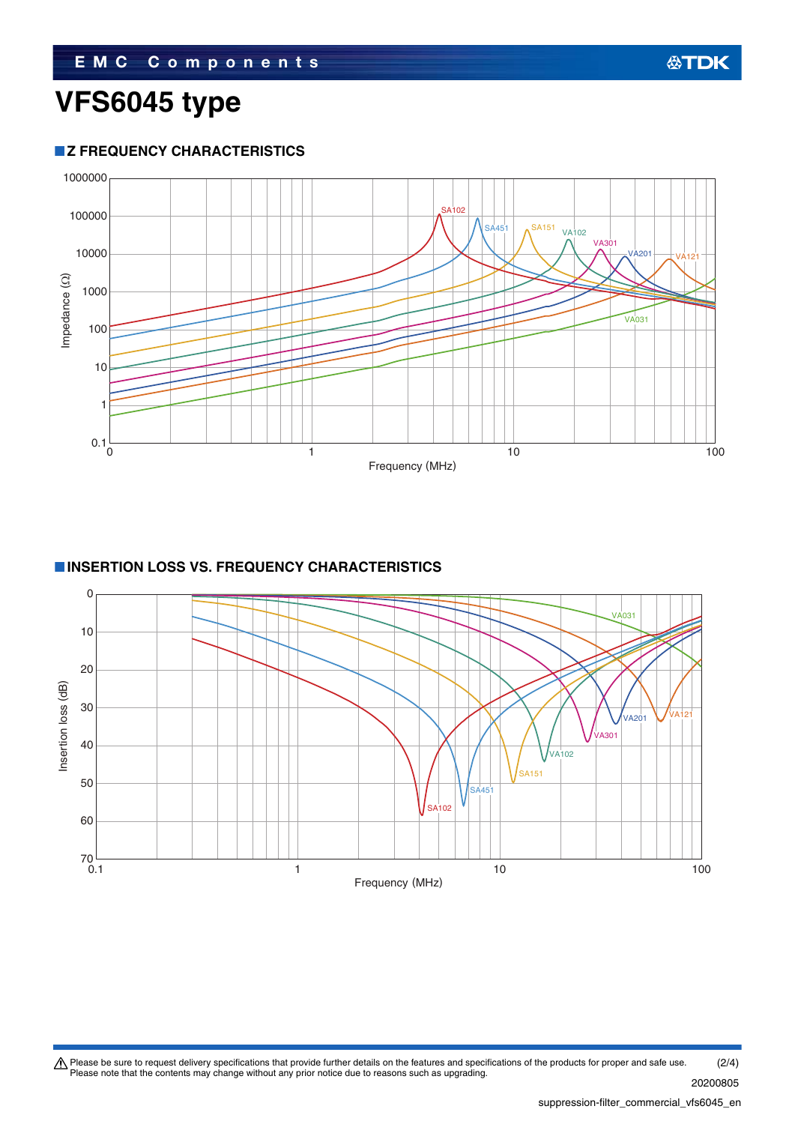## **Z FREQUENCY CHARACTERISTICS**



# **INSERTION LOSS VS. FREQUENCY CHARACTERISTICS**



Please be sure to request delivery specifications that provide further details on the features and specifications of the products for proper and safe use.<br>Please note that the contents may change without any prior notice d (2/4)

**公TDK**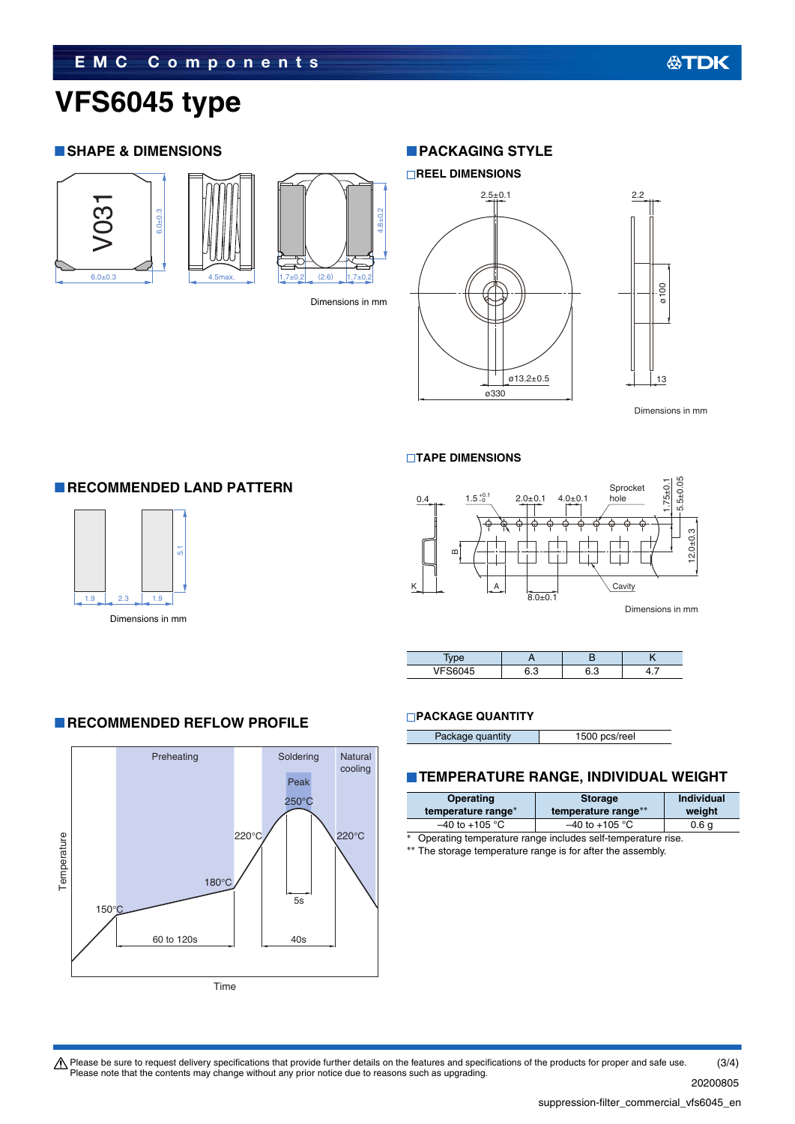# **VFS6045 type**

### **SHAPE & DIMENSIONS**







Dimensions in mm

# **PACKAGING STYLE**



and the contract of the contract of the contract of the contract of the Dimensions in mm of the contract of the contract of the contract of the contract of the contract of the contract of the contract of the contract of th

13

#### **TAPE DIMENSIONS**



| 11500017 | הי<br>ں.ر | ົ ິ |  |
|----------|-----------|-----|--|

### **PACKAGE QUANTITY**

| Package quantity | 1500 pcs/reel |
|------------------|---------------|

### **TEMPERATURE RANGE, INDIVIDUAL WEIGHT**

| Operating<br>temperature range*                                    | <b>Storage</b><br>temperature range** | <b>Individual</b><br>weight |
|--------------------------------------------------------------------|---------------------------------------|-----------------------------|
| $-40$ to +105 °C                                                   | $-40$ to $+105$ °C                    | 0.6 <sub>q</sub>            |
| $*$<br>Operating temperature range includes self-temperature rise. |                                       |                             |

\*\* The storage temperature range is for after the assembly.

# **RECOMMENDED LAND PATTERN**

**RECOMMENDED REFLOW PROFILE** 



Dimensions in mm



Please be sure to request delivery specifications that provide further details on the features and specifications of the products for proper and safe use.<br>Please note that the contents may change without any prior notice d (3/4)

20200805